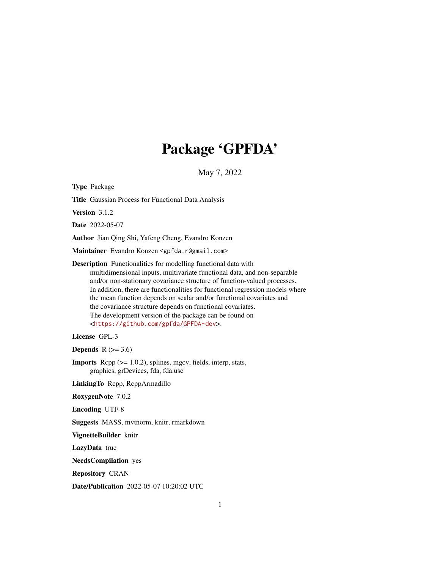# Package 'GPFDA'

May 7, 2022

<span id="page-0-0"></span>Type Package

Title Gaussian Process for Functional Data Analysis

Version 3.1.2

Date 2022-05-07

Author Jian Qing Shi, Yafeng Cheng, Evandro Konzen

Maintainer Evandro Konzen <gpfda.r@gmail.com>

Description Functionalities for modelling functional data with multidimensional inputs, multivariate functional data, and non-separable and/or non-stationary covariance structure of function-valued processes. In addition, there are functionalities for functional regression models where the mean function depends on scalar and/or functional covariates and the covariance structure depends on functional covariates. The development version of the package can be found on <<https://github.com/gpfda/GPFDA-dev>>.

License GPL-3

Depends  $R$  ( $>= 3.6$ )

**Imports** Rcpp  $(>= 1.0.2)$ , splines, mgcv, fields, interp, stats, graphics, grDevices, fda, fda.usc

LinkingTo Rcpp, RcppArmadillo

RoxygenNote 7.0.2

Encoding UTF-8

Suggests MASS, mvtnorm, knitr, rmarkdown

VignetteBuilder knitr

LazyData true

NeedsCompilation yes

Repository CRAN

Date/Publication 2022-05-07 10:20:02 UTC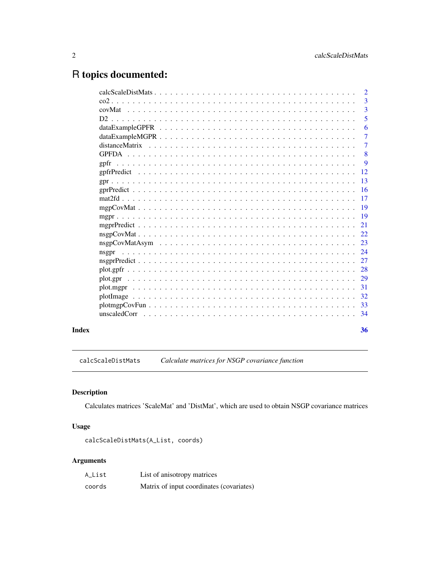## <span id="page-1-0"></span>R topics documented:

|       | $\overline{2}$ |                |
|-------|----------------|----------------|
|       |                | $\overline{3}$ |
|       |                | 3              |
|       |                | 5              |
|       |                | 6              |
|       |                | 7              |
|       |                | $\overline{7}$ |
|       |                | 8              |
|       |                | $\overline{9}$ |
|       |                |                |
|       |                |                |
|       |                |                |
|       |                |                |
|       |                |                |
|       |                |                |
|       |                |                |
|       |                |                |
|       |                |                |
|       | nsgpr          |                |
|       |                |                |
|       |                |                |
|       |                |                |
|       |                |                |
|       |                |                |
|       |                |                |
|       |                |                |
|       |                |                |
| Index | 36             |                |
|       |                |                |

calcScaleDistMats *Calculate matrices for NSGP covariance function*

#### Description

Calculates matrices 'ScaleMat' and 'DistMat', which are used to obtain NSGP covariance matrices

#### Usage

calcScaleDistMats(A\_List, coords)

| A_List | List of anisotropy matrices              |
|--------|------------------------------------------|
| coords | Matrix of input coordinates (covariates) |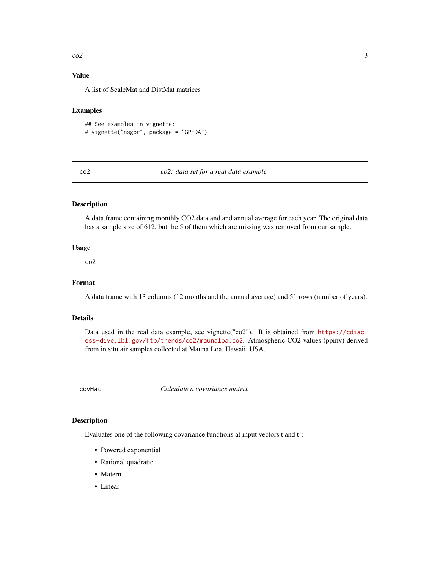#### <span id="page-2-0"></span> $\cos^2 \theta$  3

#### Value

A list of ScaleMat and DistMat matrices

#### Examples

```
## See examples in vignette:
# vignette("nsgpr", package = "GPFDA")
```
#### co2 *co2: data set for a real data example*

#### Description

A data.frame containing monthly CO2 data and and annual average for each year. The original data has a sample size of 612, but the 5 of them which are missing was removed from our sample.

#### Usage

co2

#### Format

A data frame with 13 columns (12 months and the annual average) and 51 rows (number of years).

#### Details

Data used in the real data example, see vignette("co2"). It is obtained from [https://cdiac.](https://cdiac.ess-dive.lbl.gov/ftp/trends/co2/maunaloa.co2) [ess-dive.lbl.gov/ftp/trends/co2/maunaloa.co2](https://cdiac.ess-dive.lbl.gov/ftp/trends/co2/maunaloa.co2). Atmospheric CO2 values (ppmv) derived from in situ air samples collected at Mauna Loa, Hawaii, USA.

covMat *Calculate a covariance matrix*

#### Description

Evaluates one of the following covariance functions at input vectors t and t':

- Powered exponential
- Rational quadratic
- Matern
- Linear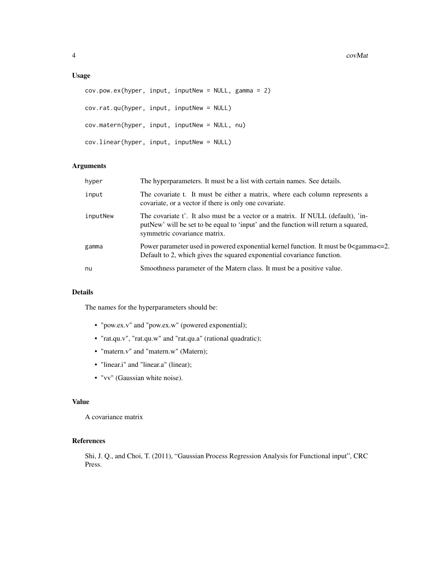#### Usage

```
cov.pow.ex(hyper, input, inputNew = NULL, gamma = 2)
cov.rat.qu(hyper, input, inputNew = NULL)
cov.matern(hyper, input, inputNew = NULL, nu)
cov.linear(hyper, input, inputNew = NULL)
```
#### Arguments

| hyper    | The hyperparameters. It must be a list with certain names. See details.                                                                                                                               |
|----------|-------------------------------------------------------------------------------------------------------------------------------------------------------------------------------------------------------|
| input    | The covariate t. It must be either a matrix, where each column represents a<br>covariate, or a vector if there is only one covariate.                                                                 |
| inputNew | The covariate t'. It also must be a vector or a matrix. If NULL (default), 'in-<br>putNew' will be set to be equal to 'input' and the function will return a squared,<br>symmetric covariance matrix. |
| gamma    | Power parameter used in powered exponential kernel function. It must be 0 <gamma <="2.&lt;br">Default to 2, which gives the squared exponential covariance function.</gamma>                          |
| nu       | Smoothness parameter of the Matern class. It must be a positive value.                                                                                                                                |

#### Details

The names for the hyperparameters should be:

- "pow.ex.v" and "pow.ex.w" (powered exponential);
- "rat.qu.v", "rat.qu.w" and "rat.qu.a" (rational quadratic);
- "matern.v" and "matern.w" (Matern);
- "linear.i" and "linear.a" (linear);
- "vv" (Gaussian white noise).

#### Value

A covariance matrix

#### References

Shi, J. Q., and Choi, T. (2011), "Gaussian Process Regression Analysis for Functional input", CRC Press.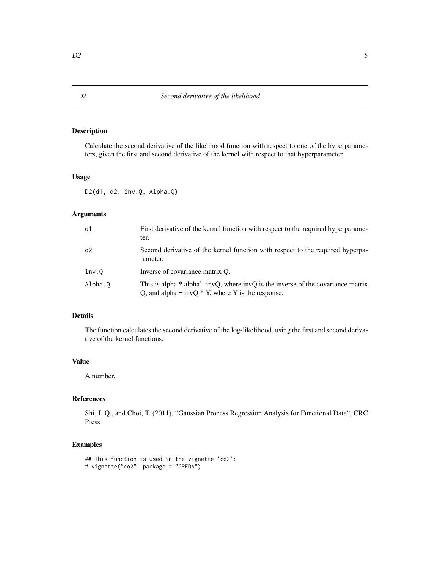<span id="page-4-0"></span>Calculate the second derivative of the likelihood function with respect to one of the hyperparameters, given the first and second derivative of the kernel with respect to that hyperparameter.

#### Usage

D2(d1, d2, inv.Q, Alpha.Q)

#### Arguments

| d1      | First derivative of the kernel function with respect to the required hyperparame-<br>ter.                                                  |
|---------|--------------------------------------------------------------------------------------------------------------------------------------------|
| d2      | Second derivative of the kernel function with respect to the required hyperpa-<br>rameter.                                                 |
| inv.0   | Inverse of covariance matrix O.                                                                                                            |
| Alpha.0 | This is alpha $*$ alpha'- invQ, where invQ is the inverse of the covariance matrix<br>Q, and alpha = $invQ * Y$ , where Y is the response. |

#### Details

The function calculates the second derivative of the log-likelihood, using the first and second derivative of the kernel functions.

#### Value

A number.

#### References

Shi, J. Q., and Choi, T. (2011), "Gaussian Process Regression Analysis for Functional Data", CRC Press.

#### Examples

```
## This function is used in the vignette 'co2':
# vignette("co2", package = "GPFDA")
```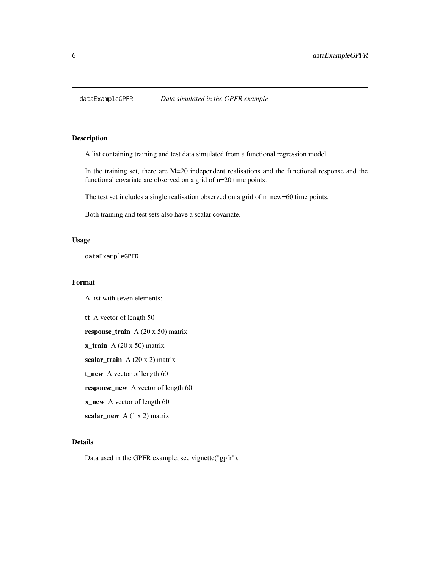<span id="page-5-0"></span>

A list containing training and test data simulated from a functional regression model.

In the training set, there are M=20 independent realisations and the functional response and the functional covariate are observed on a grid of n=20 time points.

The test set includes a single realisation observed on a grid of n\_new=60 time points.

Both training and test sets also have a scalar covariate.

#### Usage

dataExampleGPFR

#### Format

A list with seven elements:

tt A vector of length 50 response\_train A (20 x 50) matrix  $x_{\text{train}}$  A (20 x 50) matrix scalar\_train A (20 x 2) matrix t\_new A vector of length 60 response\_new A vector of length 60 x\_new A vector of length 60 scalar\_new  $A(1 x 2)$  matrix

#### Details

Data used in the GPFR example, see vignette("gpfr").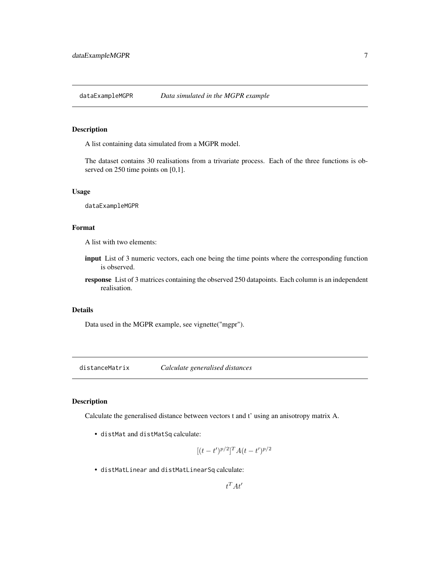<span id="page-6-0"></span>

A list containing data simulated from a MGPR model.

The dataset contains 30 realisations from a trivariate process. Each of the three functions is observed on 250 time points on [0,1].

#### Usage

dataExampleMGPR

#### Format

A list with two elements:

- input List of 3 numeric vectors, each one being the time points where the corresponding function is observed.
- response List of 3 matrices containing the observed 250 datapoints. Each column is an independent realisation.

#### Details

Data used in the MGPR example, see vignette("mgpr").

distanceMatrix *Calculate generalised distances*

#### Description

Calculate the generalised distance between vectors t and t' using an anisotropy matrix A.

• distMat and distMatSq calculate:

$$
[(t-t')^{p/2}]^{T} A (t-t')^{p/2}
$$

• distMatLinear and distMatLinearSq calculate: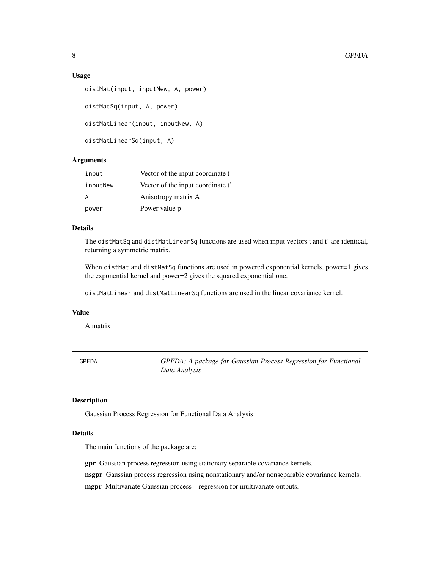#### <span id="page-7-0"></span>Usage

```
distMat(input, inputNew, A, power)
distMatSq(input, A, power)
distMatLinear(input, inputNew, A)
distMatLinearSq(input, A)
```
#### **Arguments**

| input    | Vector of the input coordinate t  |
|----------|-----------------------------------|
| inputNew | Vector of the input coordinate t' |
| A        | Anisotropy matrix A               |
| power    | Power value p                     |

#### Details

The distMatSq and distMatLinearSq functions are used when input vectors t and t' are identical, returning a symmetric matrix.

When distMat and distMatSq functions are used in powered exponential kernels, power=1 gives the exponential kernel and power=2 gives the squared exponential one.

distMatLinear and distMatLinearSq functions are used in the linear covariance kernel.

#### Value

A matrix

GPFDA *GPFDA: A package for Gaussian Process Regression for Functional Data Analysis*

#### Description

Gaussian Process Regression for Functional Data Analysis

#### Details

The main functions of the package are:

gpr Gaussian process regression using stationary separable covariance kernels.

nsgpr Gaussian process regression using nonstationary and/or nonseparable covariance kernels.

mgpr Multivariate Gaussian process – regression for multivariate outputs.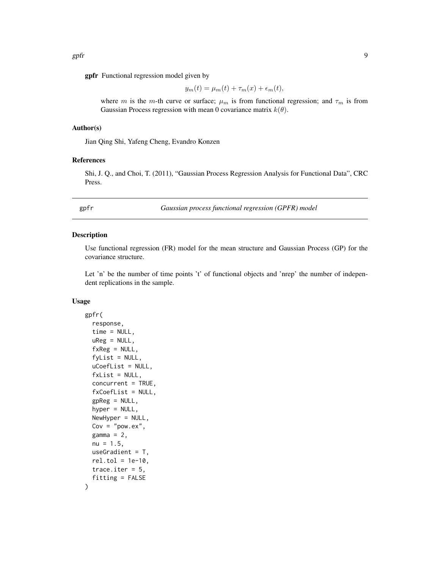<span id="page-8-0"></span>gpfr Functional regression model given by

$$
y_m(t) = \mu_m(t) + \tau_m(x) + \epsilon_m(t),
$$

where m is the m-th curve or surface;  $\mu_m$  is from functional regression; and  $\tau_m$  is from Gaussian Process regression with mean 0 covariance matrix  $k(\theta)$ .

#### Author(s)

Jian Qing Shi, Yafeng Cheng, Evandro Konzen

#### References

Shi, J. Q., and Choi, T. (2011), "Gaussian Process Regression Analysis for Functional Data", CRC Press.

gpfr *Gaussian process functional regression (GPFR) model*

#### Description

Use functional regression (FR) model for the mean structure and Gaussian Process (GP) for the covariance structure.

Let 'n' be the number of time points 't' of functional objects and 'nrep' the number of independent replications in the sample.

#### Usage

```
gpfr(
  response,
  time = NULL,
  uReg = NULL,
  f \times Reg = NULL,fylist = NULL,uCoefList = NULL,
  fxList = NULL,
  concurrent = TRUE,
  fxCoefList = NULL,
  gpReg = NULL,
  hyper = NULL,
  NewHyper = NULL,
  Cov = "pow.ex",gamma = 2,
  nu = 1.5,
  useGradient = T,
  rel.tol = 1e-10,trace.iter = 5,
  fitting = FALSE
)
```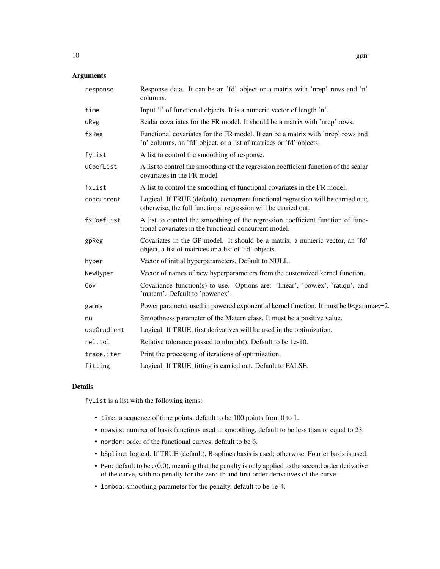#### Arguments

| response    | Response data. It can be an 'fd' object or a matrix with 'nrep' rows and 'n'<br>columns.                                                               |
|-------------|--------------------------------------------------------------------------------------------------------------------------------------------------------|
| time        | Input 't' of functional objects. It is a numeric vector of length 'n'.                                                                                 |
| uReg        | Scalar covariates for the FR model. It should be a matrix with 'nrep' rows.                                                                            |
| fxReg       | Functional covariates for the FR model. It can be a matrix with 'nrep' rows and<br>'n' columns, an 'fd' object, or a list of matrices or 'fd' objects. |
| fyList      | A list to control the smoothing of response.                                                                                                           |
| uCoefList   | A list to control the smoothing of the regression coefficient function of the scalar<br>covariates in the FR model.                                    |
| fxList      | A list to control the smoothing of functional covariates in the FR model.                                                                              |
| concurrent  | Logical. If TRUE (default), concurrent functional regression will be carried out;<br>otherwise, the full functional regression will be carried out.    |
| fxCoefList  | A list to control the smoothing of the regression coefficient function of func-<br>tional covariates in the functional concurrent model.               |
| gpReg       | Covariates in the GP model. It should be a matrix, a numeric vector, an 'fd'<br>object, a list of matrices or a list of 'fd' objects.                  |
| hyper       | Vector of initial hyperparameters. Default to NULL.                                                                                                    |
| NewHyper    | Vector of names of new hyperparameters from the customized kernel function.                                                                            |
| Cov         | Covariance function(s) to use. Options are: 'linear', 'pow.ex', 'rat.qu', and<br>'matern'. Default to 'power.ex'.                                      |
| gamma       | Power parameter used in powered exponential kernel function. It must be 0 <gamma<=2.< td=""></gamma<=2.<>                                              |
| nu          | Smoothness parameter of the Matern class. It must be a positive value.                                                                                 |
| useGradient | Logical. If TRUE, first derivatives will be used in the optimization.                                                                                  |
| rel.tol     | Relative tolerance passed to nlminb(). Default to be 1e-10.                                                                                            |
| trace.iter  | Print the processing of iterations of optimization.                                                                                                    |
| fitting     | Logical. If TRUE, fitting is carried out. Default to FALSE.                                                                                            |

#### Details

fyList is a list with the following items:

- time: a sequence of time points; default to be 100 points from 0 to 1.
- nbasis: number of basis functions used in smoothing, default to be less than or equal to 23.
- norder: order of the functional curves; default to be 6.
- bSpline: logical. If TRUE (default), B-splines basis is used; otherwise, Fourier basis is used.
- Pen: default to be  $c(0,0)$ , meaning that the penalty is only applied to the second order derivative of the curve, with no penalty for the zero-th and first order derivatives of the curve.
- lambda: smoothing parameter for the penalty, default to be 1e-4.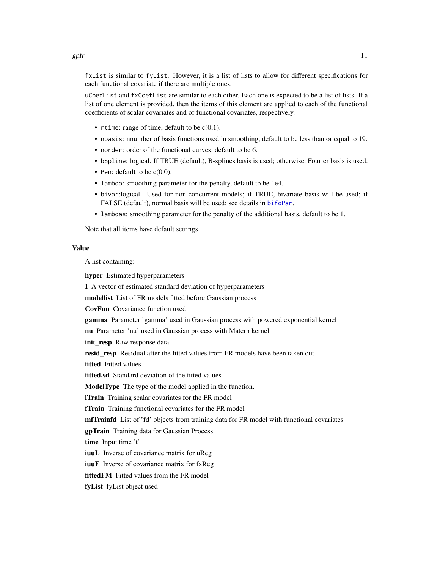<span id="page-10-0"></span>fxList is similar to fyList. However, it is a list of lists to allow for different specifications for each functional covariate if there are multiple ones.

uCoefList and fxCoefList are similar to each other. Each one is expected to be a list of lists. If a list of one element is provided, then the items of this element are applied to each of the functional coefficients of scalar covariates and of functional covariates, respectively.

- rtime: range of time, default to be  $c(0,1)$ .
- nbasis: nnumber of basis functions used in smoothing, default to be less than or equal to 19.
- norder: order of the functional curves; default to be 6.
- bSpline: logical. If TRUE (default), B-splines basis is used; otherwise, Fourier basis is used.
- Pen: default to be  $c(0,0)$ .
- lambda: smoothing parameter for the penalty, default to be 1e4.
- bivar:logical. Used for non-concurrent models; if TRUE, bivariate basis will be used; if FALSE (default), normal basis will be used; see details in [bifdPar](#page-0-0).
- lambdas: smoothing parameter for the penalty of the additional basis, default to be 1.

Note that all items have default settings.

#### Value

A list containing:

hyper Estimated hyperparameters

I A vector of estimated standard deviation of hyperparameters

modellist List of FR models fitted before Gaussian process

CovFun Covariance function used

gamma Parameter 'gamma' used in Gaussian process with powered exponential kernel

nu Parameter 'nu' used in Gaussian process with Matern kernel

init\_resp Raw response data

resid resp Residual after the fitted values from FR models have been taken out

fitted Fitted values

fitted.sd Standard deviation of the fitted values

ModelType The type of the model applied in the function.

lTrain Training scalar covariates for the FR model

fTrain Training functional covariates for the FR model

**mfTrainfd** List of 'fd' objects from training data for FR model with functional covariates

gpTrain Training data for Gaussian Process

time Input time 't'

iuuL Inverse of covariance matrix for uReg

**iuuF** Inverse of covariance matrix for fxReg

fittedFM Fitted values from the FR model

fyList fyList object used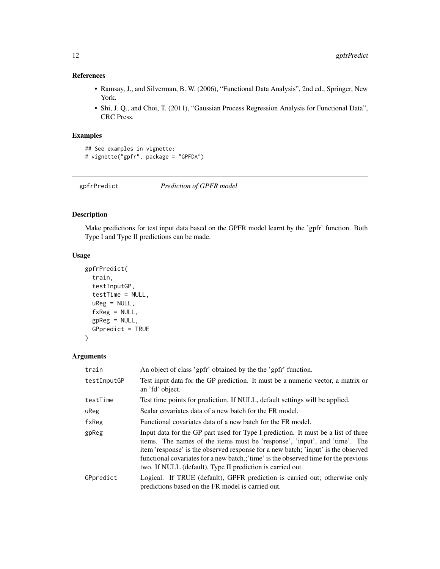#### <span id="page-11-0"></span>References

- Ramsay, J., and Silverman, B. W. (2006), "Functional Data Analysis", 2nd ed., Springer, New York.
- Shi, J. Q., and Choi, T. (2011), "Gaussian Process Regression Analysis for Functional Data", CRC Press.

#### Examples

```
## See examples in vignette:
# vignette("gpfr", package = "GPFDA")
```
gpfrPredict *Prediction of GPFR model*

#### Description

Make predictions for test input data based on the GPFR model learnt by the 'gpfr' function. Both Type I and Type II predictions can be made.

#### Usage

```
gpfrPredict(
  train,
  testInputGP,
  testTime = NULL,
  uReg = NULL,fxReg = NULL,
  gpReg = NULL,
  GPpredict = TRUE
)
```

| train       | An object of class 'gpfr' obtained by the the 'gpfr' function.                                                                                                                                                                                                                                                                                                                                            |
|-------------|-----------------------------------------------------------------------------------------------------------------------------------------------------------------------------------------------------------------------------------------------------------------------------------------------------------------------------------------------------------------------------------------------------------|
| testInputGP | Test input data for the GP prediction. It must be a numeric vector, a matrix or<br>an 'fd' object.                                                                                                                                                                                                                                                                                                        |
| testTime    | Test time points for prediction. If NULL, default settings will be applied.                                                                                                                                                                                                                                                                                                                               |
| uReg        | Scalar covariates data of a new batch for the FR model.                                                                                                                                                                                                                                                                                                                                                   |
| fxReg       | Functional covariates data of a new batch for the FR model.                                                                                                                                                                                                                                                                                                                                               |
| gpReg       | Input data for the GP part used for Type I prediction. It must be a list of three<br>items. The names of the items must be 'response', 'input', and 'time'. The<br>item 'response' is the observed response for a new batch; 'input' is the observed<br>functional covariates for a new batch,;'time' is the observed time for the previous<br>two. If NULL (default), Type II prediction is carried out. |
| GPpredict   | Logical. If TRUE (default), GPFR prediction is carried out; otherwise only<br>predictions based on the FR model is carried out.                                                                                                                                                                                                                                                                           |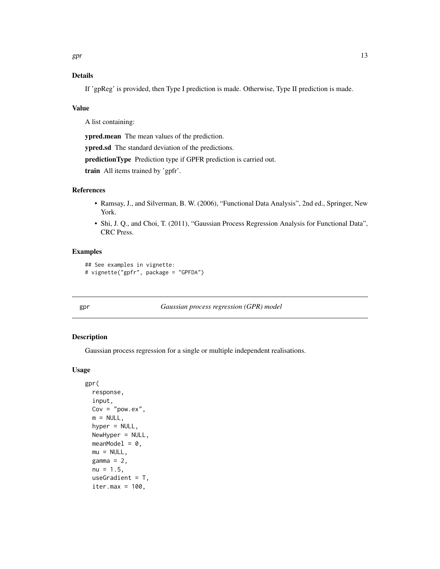#### <span id="page-12-0"></span>Details

If 'gpReg' is provided, then Type I prediction is made. Otherwise, Type II prediction is made.

#### Value

A list containing:

ypred.mean The mean values of the prediction.

ypred.sd The standard deviation of the predictions.

predictionType Prediction type if GPFR prediction is carried out.

train All items trained by 'gpfr'.

#### References

- Ramsay, J., and Silverman, B. W. (2006), "Functional Data Analysis", 2nd ed., Springer, New York.
- Shi, J. Q., and Choi, T. (2011), "Gaussian Process Regression Analysis for Functional Data", CRC Press.

#### Examples

```
## See examples in vignette:
# vignette("gpfr", package = "GPFDA")
```
gpr *Gaussian process regression (GPR) model*

#### Description

Gaussian process regression for a single or multiple independent realisations.

#### Usage

```
gpr(
  response,
  input,
  Cov = "pow.ex",m = NULL,hyper = NULL,
  NewHyper = NULL,
 meanModel = 0,
 mu = NULL,gamma = 2,
  nu = 1.5,
  useGradient = T,
  iter.max = 100,
```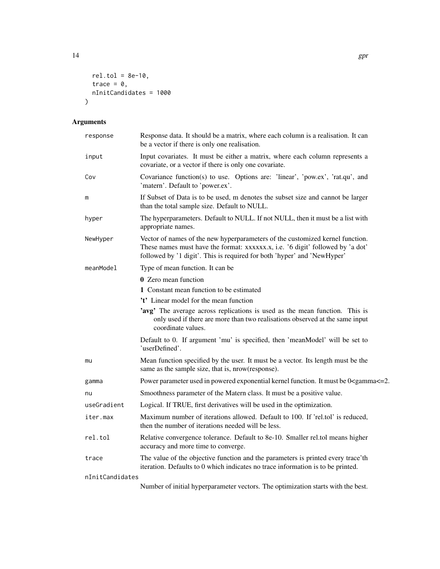$rel.tol = 8e-10,$ trace =  $0$ , nInitCandidates = 1000

 $\mathcal{L}$ 

| response        | Response data. It should be a matrix, where each column is a realisation. It can<br>be a vector if there is only one realisation.                                                                                                          |
|-----------------|--------------------------------------------------------------------------------------------------------------------------------------------------------------------------------------------------------------------------------------------|
| input           | Input covariates. It must be either a matrix, where each column represents a<br>covariate, or a vector if there is only one covariate.                                                                                                     |
| Cov             | Covariance function(s) to use. Options are: 'linear', 'pow.ex', 'rat.qu', and<br>'matern'. Default to 'power.ex'.                                                                                                                          |
| m               | If Subset of Data is to be used, m denotes the subset size and cannot be larger<br>than the total sample size. Default to NULL.                                                                                                            |
| hyper           | The hyperparameters. Default to NULL. If not NULL, then it must be a list with<br>appropriate names.                                                                                                                                       |
| NewHyper        | Vector of names of the new hyperparameters of the customized kernel function.<br>These names must have the format: xxxxxx.x, i.e. '6 digit' followed by 'a dot'<br>followed by '1 digit'. This is required for both 'hyper' and 'NewHyper' |
| meanModel       | Type of mean function. It can be                                                                                                                                                                                                           |
|                 | 0 Zero mean function                                                                                                                                                                                                                       |
|                 | 1 Constant mean function to be estimated                                                                                                                                                                                                   |
|                 | 't' Linear model for the mean function                                                                                                                                                                                                     |
|                 | 'avg' The average across replications is used as the mean function. This is<br>only used if there are more than two realisations observed at the same input<br>coordinate values.                                                          |
|                 | Default to 0. If argument 'mu' is specified, then 'meanModel' will be set to<br>'userDefined'.                                                                                                                                             |
| mu              | Mean function specified by the user. It must be a vector. Its length must be the<br>same as the sample size, that is, nrow(response).                                                                                                      |
| gamma           | Power parameter used in powered exponential kernel function. It must be 0 <gamma<=2.< td=""></gamma<=2.<>                                                                                                                                  |
| nu              | Smoothness parameter of the Matern class. It must be a positive value.                                                                                                                                                                     |
| useGradient     | Logical. If TRUE, first derivatives will be used in the optimization.                                                                                                                                                                      |
| iter.max        | Maximum number of iterations allowed. Default to 100. If 'rel.tol' is reduced,<br>then the number of iterations needed will be less.                                                                                                       |
| rel.tol         | Relative convergence tolerance. Default to 8e-10. Smaller rel.tol means higher<br>accuracy and more time to converge.                                                                                                                      |
| trace           | The value of the objective function and the parameters is printed every trace'th<br>iteration. Defaults to 0 which indicates no trace information is to be printed.                                                                        |
| nInitCandidates |                                                                                                                                                                                                                                            |
|                 | Number of initial hyperparameter vectors. The optimization starts with the best.                                                                                                                                                           |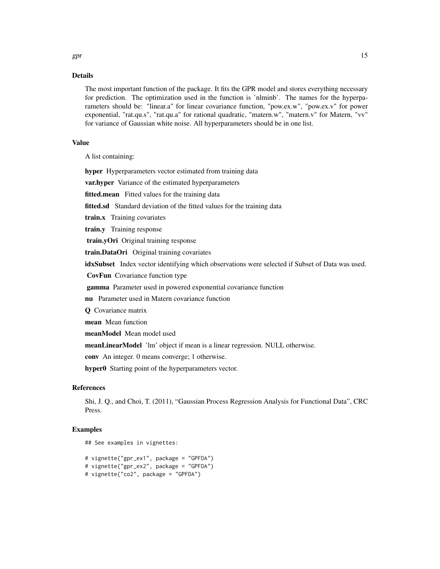#### Details

The most important function of the package. It fits the GPR model and stores everything necessary for prediction. The optimization used in the function is 'nlminb'. The names for the hyperparameters should be: "linear.a" for linear covariance function, "pow.ex.w", "pow.ex.v" for power exponential, "rat.qu.s", "rat.qu.a" for rational quadratic, "matern.w", "matern.v" for Matern, "vv" for variance of Gaussian white noise. All hyperparameters should be in one list.

#### Value

A list containing:

hyper Hyperparameters vector estimated from training data

var.hyper Variance of the estimated hyperparameters

fitted.mean Fitted values for the training data

fitted.sd Standard deviation of the fitted values for the training data

train.x Training covariates

train.y Training response

train.yOri Original training response

train.DataOri Original training covariates

idxSubset Index vector identifying which observations were selected if Subset of Data was used.

CovFun Covariance function type

gamma Parameter used in powered exponential covariance function

nu Parameter used in Matern covariance function

**O** Covariance matrix

mean Mean function

meanModel Mean model used

meanLinearModel 'lm' object if mean is a linear regression. NULL otherwise.

conv An integer. 0 means converge; 1 otherwise.

hyper0 Starting point of the hyperparameters vector.

#### References

Shi, J. Q., and Choi, T. (2011), "Gaussian Process Regression Analysis for Functional Data", CRC Press.

#### Examples

## See examples in vignettes:

```
# vignette("gpr_ex1", package = "GPFDA")
# vignette("gpr_ex2", package = "GPFDA")
# vignette("co2", package = "GPFDA")
```
 $gpr$  15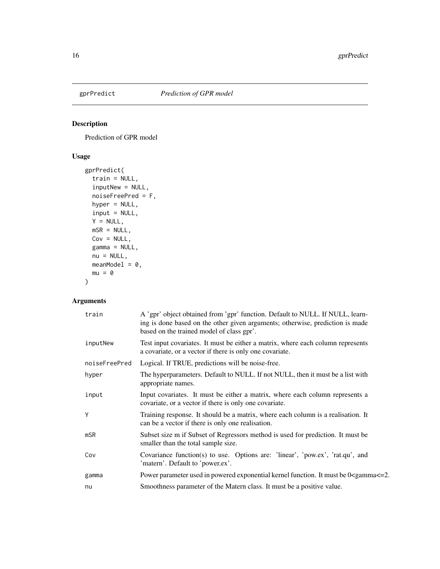<span id="page-15-0"></span>

Prediction of GPR model

#### Usage

```
gprPredict(
  train = NULL,
  inputNew = NULL,
 noiseFreePred = F,
 hyper = NULL,
  input = NULL,
 Y = NULL,msR = NULL,Cov = NULL,gamma = NULL,
 nu = NULL,meanModel = 0,
 mu = 0\mathcal{L}
```

| train         | A 'gpr' object obtained from 'gpr' function. Default to NULL. If NULL, learn-<br>ing is done based on the other given arguments; otherwise, prediction is made<br>based on the trained model of class gpr'. |
|---------------|-------------------------------------------------------------------------------------------------------------------------------------------------------------------------------------------------------------|
| inputNew      | Test input covariates. It must be either a matrix, where each column represents<br>a covariate, or a vector if there is only one covariate.                                                                 |
| noiseFreePred | Logical. If TRUE, predictions will be noise-free.                                                                                                                                                           |
| hyper         | The hyperparameters. Default to NULL. If not NULL, then it must be a list with<br>appropriate names.                                                                                                        |
| input         | Input covariates. It must be either a matrix, where each column represents a<br>covariate, or a vector if there is only one covariate.                                                                      |
| Y             | Training response. It should be a matrix, where each column is a realisation. It<br>can be a vector if there is only one realisation.                                                                       |
| $m$ SR        | Subset size m if Subset of Regressors method is used for prediction. It must be<br>smaller than the total sample size.                                                                                      |
| Cov           | Covariance function(s) to use. Options are: 'linear', 'pow.ex', 'rat.qu', and<br>'matern'. Default to 'power.ex'.                                                                                           |
| gamma         | Power parameter used in powered exponential kernel function. It must be 0 <gamma <="2.&lt;/td"></gamma>                                                                                                     |
| nu            | Smoothness parameter of the Matern class. It must be a positive value.                                                                                                                                      |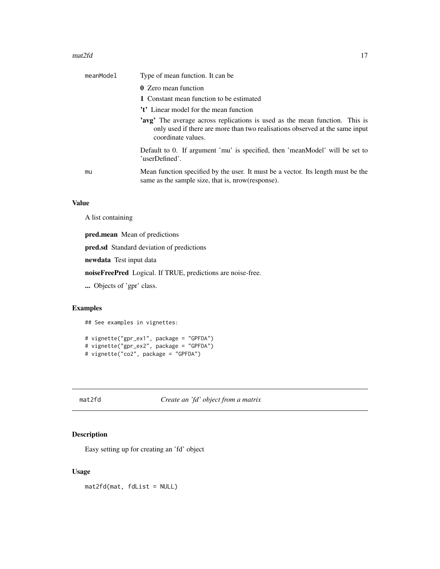#### <span id="page-16-0"></span> $\text{mat2fd}$  17

| meanModel | Type of mean function. It can be.                                                                                                                                                        |
|-----------|------------------------------------------------------------------------------------------------------------------------------------------------------------------------------------------|
|           | <b>0</b> Zero mean function                                                                                                                                                              |
|           | 1 Constant mean function to be estimated                                                                                                                                                 |
|           | 't' Linear model for the mean function                                                                                                                                                   |
|           | <b>'avg'</b> The average across replications is used as the mean function. This is<br>only used if there are more than two realisations observed at the same input<br>coordinate values. |
|           | Default to 0. If argument 'mu' is specified, then 'meanModel' will be set to<br>'userDefined'.                                                                                           |
| mu        | Mean function specified by the user. It must be a vector. Its length must be the<br>same as the sample size, that is, nrow (response).                                                   |
|           |                                                                                                                                                                                          |

#### Value

A list containing

pred.mean Mean of predictions

pred.sd Standard deviation of predictions

newdata Test input data

noiseFreePred Logical. If TRUE, predictions are noise-free.

... Objects of 'gpr' class.

#### Examples

## See examples in vignettes:

```
# vignette("gpr_ex1", package = "GPFDA")
# vignette("gpr_ex2", package = "GPFDA")
# vignette("co2", package = "GPFDA")
```
#### mat2fd *Create an 'fd' object from a matrix*

#### Description

Easy setting up for creating an 'fd' object

#### Usage

mat2fd(mat, fdList = NULL)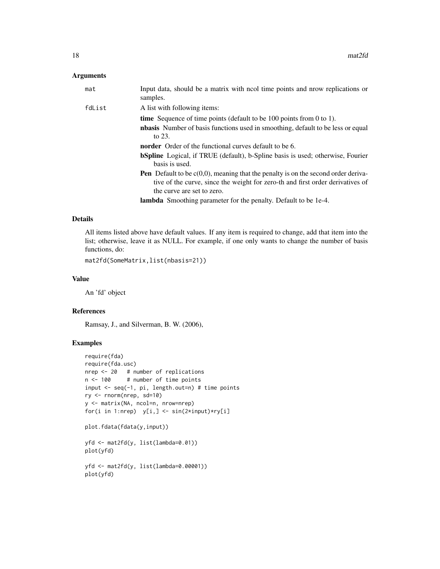#### Arguments

| mat    | Input data, should be a matrix with ncol time points and nrow replications or<br>samples.                                                                                                                   |
|--------|-------------------------------------------------------------------------------------------------------------------------------------------------------------------------------------------------------------|
| fdList | A list with following items:                                                                                                                                                                                |
|        | <b>time</b> Sequence of time points (default to be $100$ points from 0 to 1).                                                                                                                               |
|        | <b>nbasis</b> Number of basis functions used in smoothing, default to be less or equal<br>to $23.$                                                                                                          |
|        | <b>norder</b> Order of the functional curves default to be 6.                                                                                                                                               |
|        | <b>bSpline</b> Logical, if TRUE (default), b-Spline basis is used; otherwise, Fourier<br>basis is used.                                                                                                     |
|        | <b>Pen</b> Default to be $c(0,0)$ , meaning that the penalty is on the second order deriva-<br>tive of the curve, since the weight for zero-th and first order derivatives of<br>the curve are set to zero. |
|        | <b>lambda</b> Smoothing parameter for the penalty. Default to be 1e-4.                                                                                                                                      |

#### Details

All items listed above have default values. If any item is required to change, add that item into the list; otherwise, leave it as NULL. For example, if one only wants to change the number of basis functions, do:

mat2fd(SomeMatrix,list(nbasis=21))

#### Value

An 'fd' object

#### References

Ramsay, J., and Silverman, B. W. (2006),

#### Examples

```
require(fda)
require(fda.usc)
nrep <- 20 # number of replications
n <- 100 # number of time points
input <- seq(-1, pi, length.out=n) # time points
ry <- rnorm(nrep, sd=10)
y <- matrix(NA, ncol=n, nrow=nrep)
for(i in 1:nrep) y[i, ] \leftarrow \sin(2 \times input) \times ry[i]plot.fdata(fdata(y,input))
```
yfd <- mat2fd(y, list(lambda=0.01))

plot(yfd)

yfd <- mat2fd(y, list(lambda=0.00001)) plot(yfd)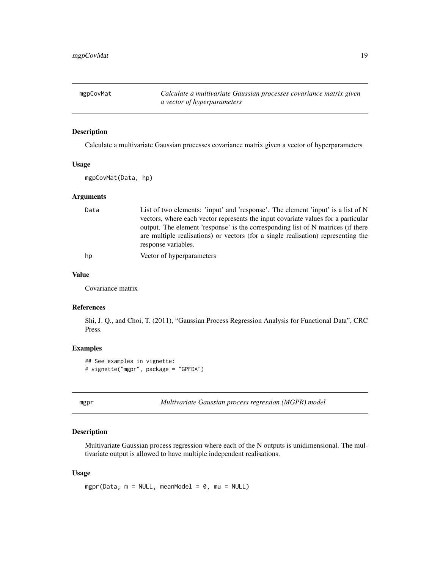<span id="page-18-0"></span>mgpCovMat *Calculate a multivariate Gaussian processes covariance matrix given a vector of hyperparameters*

#### Description

Calculate a multivariate Gaussian processes covariance matrix given a vector of hyperparameters

#### Usage

mgpCovMat(Data, hp)

#### **Arguments**

| Data | List of two elements: 'input' and 'response'. The element 'input' is a list of N  |
|------|-----------------------------------------------------------------------------------|
|      | vectors, where each vector represents the input covariate values for a particular |
|      | output. The element 'response' is the corresponding list of N matrices (if there  |
|      | are multiple realisations) or vectors (for a single realisation) representing the |
|      | response variables.                                                               |
| hp   | Vector of hyperparameters                                                         |

#### Value

Covariance matrix

#### References

Shi, J. Q., and Choi, T. (2011), "Gaussian Process Regression Analysis for Functional Data", CRC Press.

#### Examples

```
## See examples in vignette:
# vignette("mgpr", package = "GPFDA")
```
mgpr *Multivariate Gaussian process regression (MGPR) model*

#### Description

Multivariate Gaussian process regression where each of the N outputs is unidimensional. The multivariate output is allowed to have multiple independent realisations.

#### Usage

mgpr(Data,  $m = NULL$ , meanModel = 0, mu = NULL)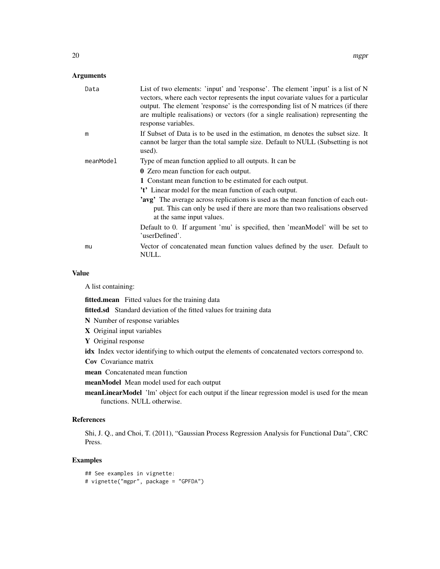#### Arguments

| Data      | List of two elements: 'input' and 'response'. The element 'input' is a list of N<br>vectors, where each vector represents the input covariate values for a particular<br>output. The element 'response' is the corresponding list of N matrices (if there<br>are multiple realisations) or vectors (for a single realisation) representing the<br>response variables. |
|-----------|-----------------------------------------------------------------------------------------------------------------------------------------------------------------------------------------------------------------------------------------------------------------------------------------------------------------------------------------------------------------------|
| m         | If Subset of Data is to be used in the estimation, m denotes the subset size. It<br>cannot be larger than the total sample size. Default to NULL (Subsetting is not<br>used).                                                                                                                                                                                         |
| meanModel | Type of mean function applied to all outputs. It can be                                                                                                                                                                                                                                                                                                               |
|           | <b>0</b> Zero mean function for each output.                                                                                                                                                                                                                                                                                                                          |
|           | 1 Constant mean function to be estimated for each output.                                                                                                                                                                                                                                                                                                             |
|           | 't' Linear model for the mean function of each output.                                                                                                                                                                                                                                                                                                                |
|           | 'avg' The average across replications is used as the mean function of each out-<br>put. This can only be used if there are more than two realisations observed<br>at the same input values.                                                                                                                                                                           |
|           | Default to 0. If argument 'mu' is specified, then 'meanModel' will be set to<br>'userDefined'.                                                                                                                                                                                                                                                                        |
| mu        | Vector of concatenated mean function values defined by the user. Default to<br>NULL.                                                                                                                                                                                                                                                                                  |

#### Value

A list containing:

fitted.mean Fitted values for the training data

fitted.sd Standard deviation of the fitted values for training data

- N Number of response variables
- X Original input variables
- Y Original response

idx Index vector identifying to which output the elements of concatenated vectors correspond to.

Cov Covariance matrix

mean Concatenated mean function

meanModel Mean model used for each output

meanLinearModel 'lm' object for each output if the linear regression model is used for the mean functions. NULL otherwise.

#### References

Shi, J. Q., and Choi, T. (2011), "Gaussian Process Regression Analysis for Functional Data", CRC Press.

#### Examples

```
## See examples in vignette:
# vignette("mgpr", package = "GPFDA")
```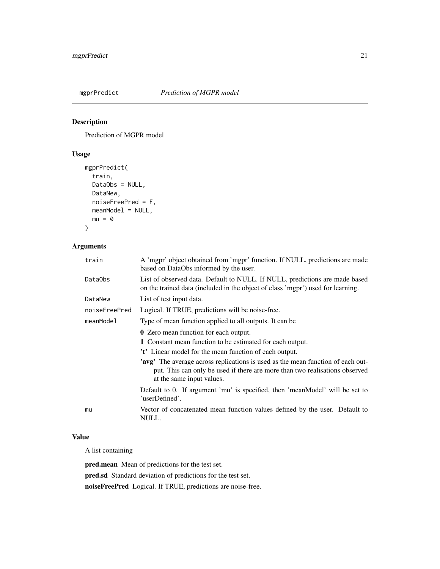<span id="page-20-0"></span>

Prediction of MGPR model

#### Usage

```
mgprPredict(
  train,
 DataObs = NULL,
 DataNew,
 noiseFreePred = F,
 meanModel = NULL,
 mu = 0)
```
#### Arguments

| train         | A 'mgpr' object obtained from 'mgpr' function. If NULL, predictions are made<br>based on DataObs informed by the user.                                                                      |
|---------------|---------------------------------------------------------------------------------------------------------------------------------------------------------------------------------------------|
| DataObs       | List of observed data. Default to NULL. If NULL, predictions are made based<br>on the trained data (included in the object of class 'mgpr') used for learning.                              |
| DataNew       | List of test input data.                                                                                                                                                                    |
| noiseFreePred | Logical. If TRUE, predictions will be noise-free.                                                                                                                                           |
| meanModel     | Type of mean function applied to all outputs. It can be                                                                                                                                     |
|               | <b>0</b> Zero mean function for each output.                                                                                                                                                |
|               | 1 Constant mean function to be estimated for each output.                                                                                                                                   |
|               | 't' Linear model for the mean function of each output.                                                                                                                                      |
|               | 'avg' The average across replications is used as the mean function of each out-<br>put. This can only be used if there are more than two realisations observed<br>at the same input values. |
|               | Default to 0. If argument 'mu' is specified, then 'meanModel' will be set to<br>'userDefined'.                                                                                              |
| mu            | Vector of concatenated mean function values defined by the user. Default to<br>NULL.                                                                                                        |
|               |                                                                                                                                                                                             |

#### Value

A list containing

pred.mean Mean of predictions for the test set.

pred.sd Standard deviation of predictions for the test set.

noiseFreePred Logical. If TRUE, predictions are noise-free.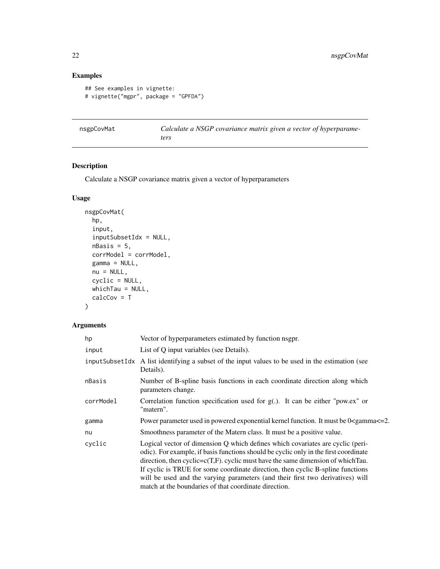#### Examples

```
## See examples in vignette:
# vignette("mgpr", package = "GPFDA")
```

| nsgpCovMat | Calculate a NSGP covariance matrix given a vector of hyperparame- |  |  |
|------------|-------------------------------------------------------------------|--|--|
|            | ters                                                              |  |  |

#### Description

Calculate a NSGP covariance matrix given a vector of hyperparameters

#### Usage

```
nsgpCovMat(
 hp,
  input,
  inputSubsetIdx = NULL,
 nBasis = 5,
 corrModel = corrModel,
 gamma = NULL,nu = NULL,cyclic = NULL,
 whichTau = NULL,
 calcCov = T
\mathcal{L}
```

| hp        | Vector of hyperparameters estimated by function nsgpr.                                                                                                                                                                                                                                                                                                                                                                                                                                      |
|-----------|---------------------------------------------------------------------------------------------------------------------------------------------------------------------------------------------------------------------------------------------------------------------------------------------------------------------------------------------------------------------------------------------------------------------------------------------------------------------------------------------|
| input     | List of Q input variables (see Details).                                                                                                                                                                                                                                                                                                                                                                                                                                                    |
|           | input Subset Idx A list identifying a subset of the input values to be used in the estimation (see<br>Details).                                                                                                                                                                                                                                                                                                                                                                             |
| nBasis    | Number of B-spline basis functions in each coordinate direction along which<br>parameters change.                                                                                                                                                                                                                                                                                                                                                                                           |
| corrModel | Correlation function specification used for $g(.)$ . It can be either "pow.ex" or<br>"matern".                                                                                                                                                                                                                                                                                                                                                                                              |
| gamma     | Power parameter used in powered exponential kernel function. It must be 0 <gamma <="2.&lt;/td"></gamma>                                                                                                                                                                                                                                                                                                                                                                                     |
| nu        | Smoothness parameter of the Matern class. It must be a positive value.                                                                                                                                                                                                                                                                                                                                                                                                                      |
| cyclic    | Logical vector of dimension Q which defines which covariates are cyclic (peri-<br>odic). For example, if basis functions should be cyclic only in the first coordinate<br>direction, then $cyclic=c(T,F)$ . cyclic must have the same dimension of which Tau.<br>If cyclic is TRUE for some coordinate direction, then cyclic B-spline functions<br>will be used and the varying parameters (and their first two derivatives) will<br>match at the boundaries of that coordinate direction. |

<span id="page-21-0"></span>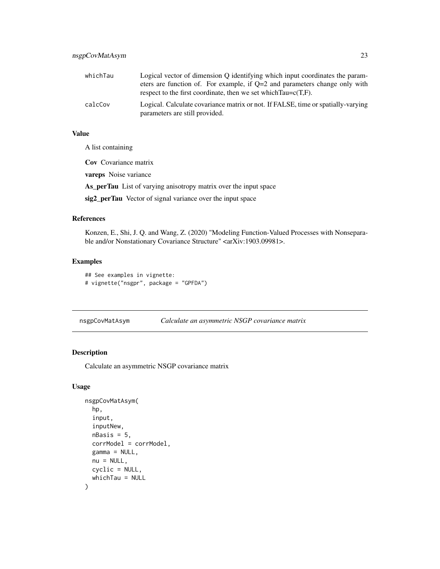<span id="page-22-0"></span>

| whichTau | Logical vector of dimension Q identifying which input coordinates the param-     |
|----------|----------------------------------------------------------------------------------|
|          | eters are function of. For example, if $Q=2$ and parameters change only with     |
|          | respect to the first coordinate, then we set which $Tau = c(T,F)$ .              |
| calcCov  | Logical. Calculate covariance matrix or not. If FALSE, time or spatially-varying |
|          | parameters are still provided.                                                   |

#### Value

A list containing

Cov Covariance matrix

vareps Noise variance

As\_perTau List of varying anisotropy matrix over the input space

sig2\_perTau Vector of signal variance over the input space

#### References

Konzen, E., Shi, J. Q. and Wang, Z. (2020) "Modeling Function-Valued Processes with Nonseparable and/or Nonstationary Covariance Structure" <arXiv:1903.09981>.

#### Examples

```
## See examples in vignette:
# vignette("nsgpr", package = "GPFDA")
```
nsgpCovMatAsym *Calculate an asymmetric NSGP covariance matrix*

#### Description

Calculate an asymmetric NSGP covariance matrix

#### Usage

```
nsgpCovMatAsym(
  hp,
  input,
  inputNew,
  nBasis = 5,
  corrModel = corrModel,
 gamma = NULL,
 nu = NULL,cyclic = NULL,
  whichTau = NULL
)
```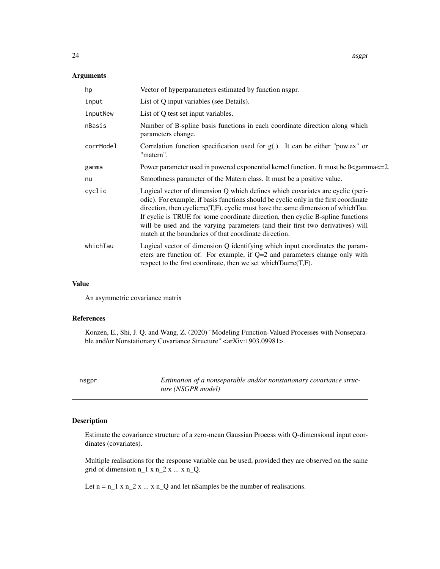#### <span id="page-23-0"></span>Arguments

| hp        | Vector of hyperparameters estimated by function nsgpr.                                                                                                                                                                                                                                                                                                                                                                                                                                      |
|-----------|---------------------------------------------------------------------------------------------------------------------------------------------------------------------------------------------------------------------------------------------------------------------------------------------------------------------------------------------------------------------------------------------------------------------------------------------------------------------------------------------|
| input     | List of Q input variables (see Details).                                                                                                                                                                                                                                                                                                                                                                                                                                                    |
| inputNew  | List of Q test set input variables.                                                                                                                                                                                                                                                                                                                                                                                                                                                         |
| nBasis    | Number of B-spline basis functions in each coordinate direction along which<br>parameters change.                                                                                                                                                                                                                                                                                                                                                                                           |
| corrModel | Correlation function specification used for $g(.)$ . It can be either "pow.ex" or<br>"matern".                                                                                                                                                                                                                                                                                                                                                                                              |
| gamma     | Power parameter used in powered exponential kernel function. It must be 0 <gamma <="2.&lt;/td"></gamma>                                                                                                                                                                                                                                                                                                                                                                                     |
| nu        | Smoothness parameter of the Matern class. It must be a positive value.                                                                                                                                                                                                                                                                                                                                                                                                                      |
| cyclic    | Logical vector of dimension Q which defines which covariates are cyclic (peri-<br>odic). For example, if basis functions should be cyclic only in the first coordinate<br>direction, then $cyclic=c(T,F)$ . cyclic must have the same dimension of which Tau.<br>If cyclic is TRUE for some coordinate direction, then cyclic B-spline functions<br>will be used and the varying parameters (and their first two derivatives) will<br>match at the boundaries of that coordinate direction. |
| whichTau  | Logical vector of dimension Q identifying which input coordinates the param-<br>eters are function of. For example, if Q=2 and parameters change only with<br>respect to the first coordinate, then we set which $Tau = c(T, F)$ .                                                                                                                                                                                                                                                          |

#### Value

An asymmetric covariance matrix

#### References

Konzen, E., Shi, J. Q. and Wang, Z. (2020) "Modeling Function-Valued Processes with Nonseparable and/or Nonstationary Covariance Structure" <arXiv:1903.09981>.

nsgpr *Estimation of a nonseparable and/or nonstationary covariance structure (NSGPR model)*

#### Description

Estimate the covariance structure of a zero-mean Gaussian Process with Q-dimensional input coordinates (covariates).

Multiple realisations for the response variable can be used, provided they are observed on the same grid of dimension  $n_1 x n_2 x ... x n_Q$ .

Let  $n = n_1 x n_2 x ... x n_Q$  and let nSamples be the number of realisations.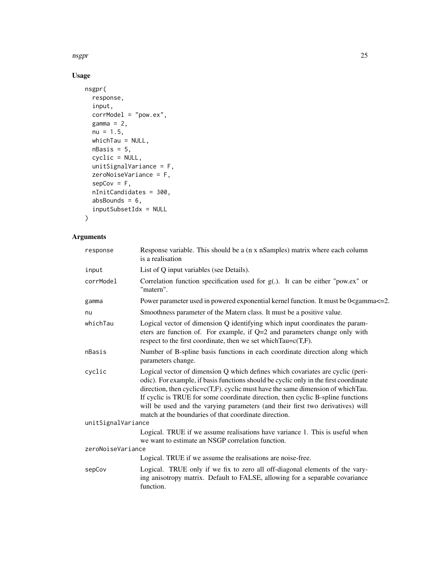nsgpr 25

#### Usage

```
nsgpr(
  response,
  input,
  corrModel = "pow.ex",
  gamma = 2,
  nu = 1.5,
  whichTau = NULL,
  nBasis = 5,
  cyclic = NULL,
  unitSignalVariance = F,
  zeroNoiseVariance = F,
  sepCov = F,
  nInitCandidates = 300,
  absBounds = 6,
  inputSubsetIdx = NULL
\mathcal{L}
```

| response           | Response variable. This should be a (n x nSamples) matrix where each column<br>is a realisation                                                                                                                                                                                                                                                                                                                                                                                              |
|--------------------|----------------------------------------------------------------------------------------------------------------------------------------------------------------------------------------------------------------------------------------------------------------------------------------------------------------------------------------------------------------------------------------------------------------------------------------------------------------------------------------------|
| input              | List of Q input variables (see Details).                                                                                                                                                                                                                                                                                                                                                                                                                                                     |
| corrModel          | Correlation function specification used for $g(.)$ . It can be either "pow.ex" or<br>"matern".                                                                                                                                                                                                                                                                                                                                                                                               |
| gamma              | Power parameter used in powered exponential kernel function. It must be 0 <gamma <="2.&lt;/td"></gamma>                                                                                                                                                                                                                                                                                                                                                                                      |
| nu                 | Smoothness parameter of the Matern class. It must be a positive value.                                                                                                                                                                                                                                                                                                                                                                                                                       |
| whichTau           | Logical vector of dimension Q identifying which input coordinates the param-<br>eters are function of. For example, if $Q=2$ and parameters change only with<br>respect to the first coordinate, then we set which $Tau = c(T, F)$ .                                                                                                                                                                                                                                                         |
| nBasis             | Number of B-spline basis functions in each coordinate direction along which<br>parameters change.                                                                                                                                                                                                                                                                                                                                                                                            |
| cyclic             | Logical vector of dimension Q which defines which covariates are cyclic (peri-<br>odic). For example, if basis functions should be cyclic only in the first coordinate<br>direction, then cyclic= $c(T,F)$ . cyclic must have the same dimension of which Tau.<br>If cyclic is TRUE for some coordinate direction, then cyclic B-spline functions<br>will be used and the varying parameters (and their first two derivatives) will<br>match at the boundaries of that coordinate direction. |
| unitSignalVariance |                                                                                                                                                                                                                                                                                                                                                                                                                                                                                              |
|                    | Logical. TRUE if we assume realisations have variance 1. This is useful when<br>we want to estimate an NSGP correlation function.                                                                                                                                                                                                                                                                                                                                                            |
| zeroNoiseVariance  |                                                                                                                                                                                                                                                                                                                                                                                                                                                                                              |
|                    | Logical. TRUE if we assume the realisations are noise-free.                                                                                                                                                                                                                                                                                                                                                                                                                                  |
| sepCov             | Logical. TRUE only if we fix to zero all off-diagonal elements of the vary-<br>ing anisotropy matrix. Default to FALSE, allowing for a separable covariance<br>function.                                                                                                                                                                                                                                                                                                                     |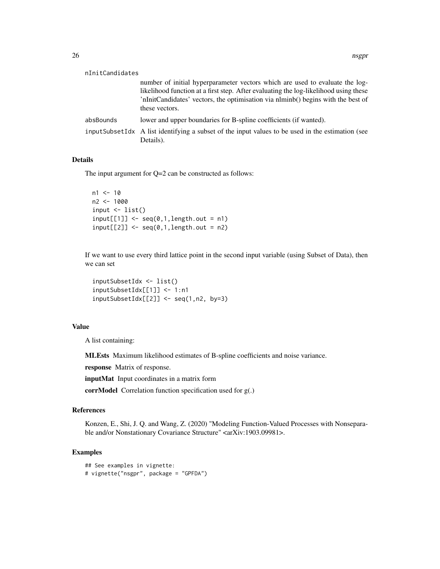| nInitCandidates |                                                                                                                                                                                                                                                                            |
|-----------------|----------------------------------------------------------------------------------------------------------------------------------------------------------------------------------------------------------------------------------------------------------------------------|
|                 | number of initial hyperparameter vectors which are used to evaluate the log-<br>likelihood function at a first step. After evaluating the log-likelihood using these<br>'nInitCandidates' vectors, the optimisation via nlminb() begins with the best of<br>these vectors. |
| absBounds       | lower and upper boundaries for B-spline coefficients (if wanted).                                                                                                                                                                                                          |
|                 | input Subset Idx A list identifying a subset of the input values to be used in the estimation (see<br>Details).                                                                                                                                                            |

#### Details

The input argument for Q=2 can be constructed as follows:

```
n1 < -10n2 < -1000input \le list()
input[[1]] \leftarrow seq(0,1, length.out = n1)input[[2]] \leq seq(0,1,length.out = n2)
```
If we want to use every third lattice point in the second input variable (using Subset of Data), then we can set

```
inputSubsetIdx <- list()
inputSubsetIdx[[1]] <- 1:n1
inputSubsetIdx[[2]] \leq seq(1, n2, by=3)
```
#### Value

A list containing:

MLEsts Maximum likelihood estimates of B-spline coefficients and noise variance.

response Matrix of response.

inputMat Input coordinates in a matrix form

corrModel Correlation function specification used for g(.)

#### References

Konzen, E., Shi, J. Q. and Wang, Z. (2020) "Modeling Function-Valued Processes with Nonseparable and/or Nonstationary Covariance Structure" <arXiv:1903.09981>.

#### Examples

```
## See examples in vignette:
# vignette("nsgpr", package = "GPFDA")
```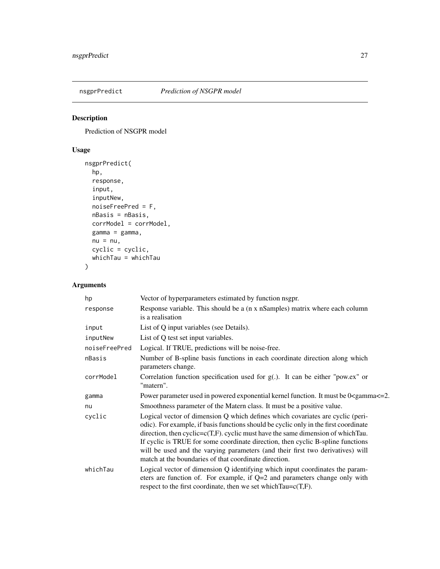<span id="page-26-0"></span>

Prediction of NSGPR model

#### Usage

```
nsgprPredict(
  hp,
  response,
  input,
  inputNew,
  noiseFreePred = F,
  nBasis = nBasis,
  corrModel = corrModel,
  gamma = gamma,
  nu = nu,cyclic = cyclic,
  whichTau = whichTau
\mathcal{L}
```

| hp            | Vector of hyperparameters estimated by function nsgpr.                                                                                                                                                                                                                                                                                                                                                                                                                                      |
|---------------|---------------------------------------------------------------------------------------------------------------------------------------------------------------------------------------------------------------------------------------------------------------------------------------------------------------------------------------------------------------------------------------------------------------------------------------------------------------------------------------------|
| response      | Response variable. This should be a (n x nSamples) matrix where each column<br>is a realisation                                                                                                                                                                                                                                                                                                                                                                                             |
| input         | List of Q input variables (see Details).                                                                                                                                                                                                                                                                                                                                                                                                                                                    |
| inputNew      | List of Q test set input variables.                                                                                                                                                                                                                                                                                                                                                                                                                                                         |
| noiseFreePred | Logical. If TRUE, predictions will be noise-free.                                                                                                                                                                                                                                                                                                                                                                                                                                           |
| nBasis        | Number of B-spline basis functions in each coordinate direction along which<br>parameters change.                                                                                                                                                                                                                                                                                                                                                                                           |
| corrModel     | Correlation function specification used for $g(.)$ . It can be either "pow.ex" or<br>"matern".                                                                                                                                                                                                                                                                                                                                                                                              |
| gamma         | Power parameter used in powered exponential kernel function. It must be 0 <gamma<=2.< td=""></gamma<=2.<>                                                                                                                                                                                                                                                                                                                                                                                   |
| nu            | Smoothness parameter of the Matern class. It must be a positive value.                                                                                                                                                                                                                                                                                                                                                                                                                      |
| cyclic        | Logical vector of dimension Q which defines which covariates are cyclic (peri-<br>odic). For example, if basis functions should be cyclic only in the first coordinate<br>direction, then $cyclic=c(T,F)$ . cyclic must have the same dimension of which Tau.<br>If cyclic is TRUE for some coordinate direction, then cyclic B-spline functions<br>will be used and the varying parameters (and their first two derivatives) will<br>match at the boundaries of that coordinate direction. |
| whichTau      | Logical vector of dimension Q identifying which input coordinates the param-<br>eters are function of. For example, if $Q=2$ and parameters change only with<br>respect to the first coordinate, then we set which $Tau = c(T, F)$ .                                                                                                                                                                                                                                                        |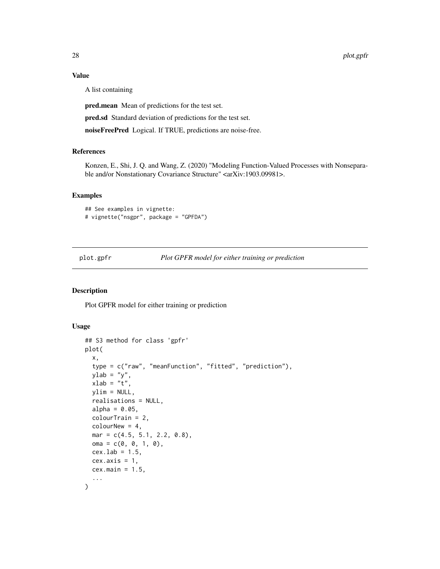#### Value

A list containing

pred.mean Mean of predictions for the test set.

pred.sd Standard deviation of predictions for the test set.

noiseFreePred Logical. If TRUE, predictions are noise-free.

#### References

Konzen, E., Shi, J. Q. and Wang, Z. (2020) "Modeling Function-Valued Processes with Nonseparable and/or Nonstationary Covariance Structure" <arXiv:1903.09981>.

#### Examples

```
## See examples in vignette:
# vignette("nsgpr", package = "GPFDA")
```
plot.gpfr *Plot GPFR model for either training or prediction*

#### Description

Plot GPFR model for either training or prediction

#### Usage

```
## S3 method for class 'gpfr'
plot(
  x,
  type = c("raw", "meanFunction", "fitted", "prediction"),
  ylab = "y",
  xlab = "t",
  ylim = NULL,
  realisations = NULL,
  alpha = 0.05,
  colorTrain = 2,colorNew = 4,mar = c(4.5, 5.1, 2.2, 0.8),
  oma = c(0, 0, 1, 0),
  cex.lab = 1.5,
  cex. axis = 1,cex.main = 1.5,
  ...
)
```
<span id="page-27-0"></span>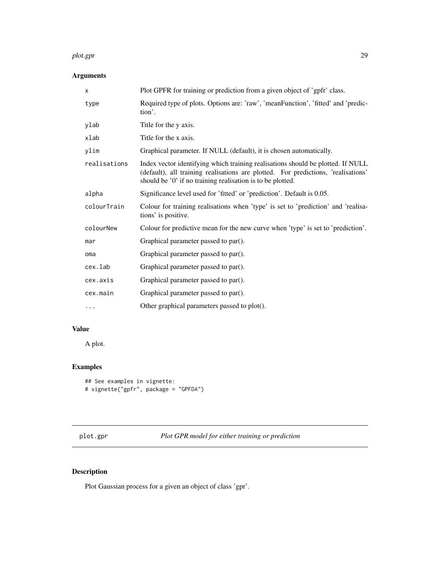#### <span id="page-28-0"></span>plot.gpr 29

#### Arguments

| $\times$     | Plot GPFR for training or prediction from a given object of 'gpfr' class.                                                                                                                                                          |
|--------------|------------------------------------------------------------------------------------------------------------------------------------------------------------------------------------------------------------------------------------|
| type         | Required type of plots. Options are: 'raw', 'meanFunction', 'fitted' and 'predic-<br>tion'.                                                                                                                                        |
| ylab         | Title for the y axis.                                                                                                                                                                                                              |
| xlab         | Title for the x axis.                                                                                                                                                                                                              |
| ylim         | Graphical parameter. If NULL (default), it is chosen automatically.                                                                                                                                                                |
| realisations | Index vector identifying which training realisations should be plotted. If NULL<br>(default), all training realisations are plotted. For predictions, 'realisations'<br>should be '0' if no training realisation is to be plotted. |
| alpha        | Significance level used for 'fitted' or 'prediction'. Default is 0.05.                                                                                                                                                             |
| colourTrain  | Colour for training realisations when 'type' is set to 'prediction' and 'realisa-<br>tions' is positive.                                                                                                                           |
| colourNew    | Colour for predictive mean for the new curve when 'type' is set to 'prediction'.                                                                                                                                                   |
| mar          | Graphical parameter passed to par().                                                                                                                                                                                               |
| oma          | Graphical parameter passed to par().                                                                                                                                                                                               |
| cex.lab      | Graphical parameter passed to par().                                                                                                                                                                                               |
| cex.axis     | Graphical parameter passed to par().                                                                                                                                                                                               |
| cex.main     | Graphical parameter passed to par().                                                                                                                                                                                               |
| $\cdots$     | Other graphical parameters passed to plot().                                                                                                                                                                                       |

#### Value

A plot.

#### Examples

```
## See examples in vignette:
# vignette("gpfr", package = "GPFDA")
```
### Description

Plot Gaussian process for a given an object of class 'gpr'.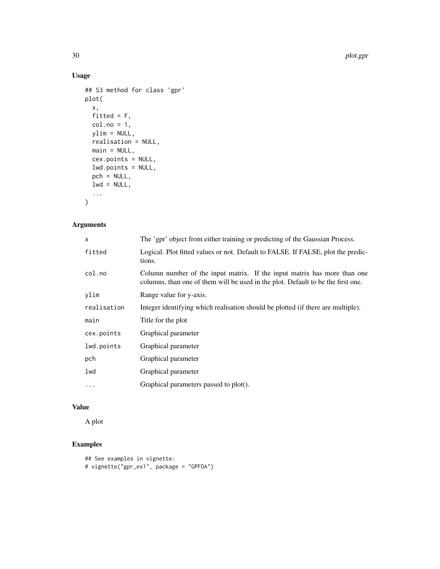#### Usage

```
## S3 method for class 'gpr'
plot(
  x,
 fitted = F,
 col.no = 1,
 ylim = NULL,
 realisation = NULL,
 main = NULL,cex.points = NULL,
 lwd.points = NULL,
 pch = NULL,lwd = NULL,...
\mathcal{L}
```
#### Arguments

| $\mathsf{x}$ | The 'gpr' object from either training or predicting of the Gaussian Process.                                                                                 |
|--------------|--------------------------------------------------------------------------------------------------------------------------------------------------------------|
| fitted       | Logical. Plot fitted values or not. Default to FALSE. If FALSE, plot the predic-<br>tions.                                                                   |
| col.no       | Column number of the input matrix. If the input matrix has more than one<br>columns, than one of them will be used in the plot. Default to be the first one. |
| ylim         | Range value for y-axis.                                                                                                                                      |
| realisation  | Integer identifying which realisation should be plotted (if there are multiple).                                                                             |
| main         | Title for the plot                                                                                                                                           |
| cex.points   | Graphical parameter                                                                                                                                          |
| lwd.points   | Graphical parameter                                                                                                                                          |
| pch          | Graphical parameter                                                                                                                                          |
| lwd          | Graphical parameter                                                                                                                                          |
| $\cdots$     | Graphical parameters passed to plot().                                                                                                                       |

#### Value

A plot

#### Examples

```
## See examples in vignette:
# vignette("gpr_ex1", package = "GPFDA")
```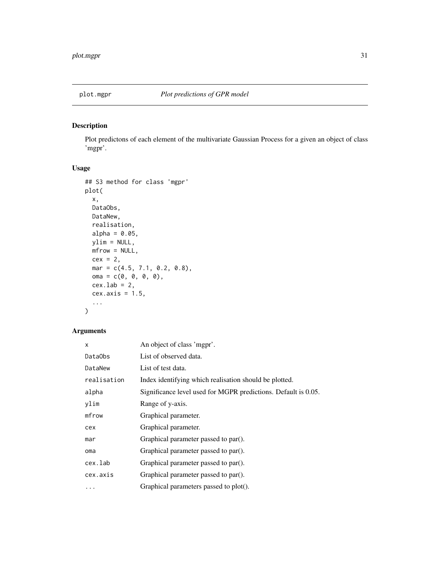<span id="page-30-0"></span>

Plot predictons of each element of the multivariate Gaussian Process for a given an object of class 'mgpr'.

#### Usage

```
## S3 method for class 'mgpr'
plot(
  x,
  DataObs,
  DataNew,
  realisation,
  alpha = 0.05,
  ylim = NULL,mfrow = NULL,
  cex = 2,
  mar = c(4.5, 7.1, 0.2, 0.8),oma = c(\emptyset, \emptyset, \emptyset, \emptyset),
  cex.lab = 2,
  cex. axis = 1.5,...
)
```

| x           | An object of class 'mgpr'.                                     |
|-------------|----------------------------------------------------------------|
| DataObs     | List of observed data.                                         |
| DataNew     | List of test data.                                             |
| realisation | Index identifying which realisation should be plotted.         |
| alpha       | Significance level used for MGPR predictions. Default is 0.05. |
| ylim        | Range of y-axis.                                               |
| mfrow       | Graphical parameter.                                           |
| cex         | Graphical parameter.                                           |
| mar         | Graphical parameter passed to par().                           |
| oma         | Graphical parameter passed to par().                           |
| cex.lab     | Graphical parameter passed to par().                           |
| cex.axis    | Graphical parameter passed to par().                           |
| .           | Graphical parameters passed to plot().                         |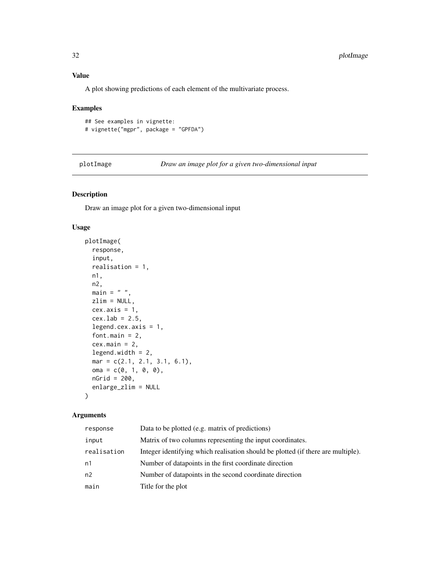#### Value

A plot showing predictions of each element of the multivariate process.

#### Examples

```
## See examples in vignette:
# vignette("mgpr", package = "GPFDA")
```
plotImage *Draw an image plot for a given two-dimensional input*

#### Description

Draw an image plot for a given two-dimensional input

#### Usage

```
plotImage(
  response,
  input,
  realisation = 1,
 n1,
 n2,
 main = " "zlim = NULL,
 cex. axis = 1,cex.1ab = 2.5,
  legend.cex.axis = 1,
  font.main = 2,
  cex.mainloop = 2,
  legend.width = 2,
 mar = c(2.1, 2.1, 3.1, 6.1),
 oma = c(0, 1, 0, 0),nGrid = 200,
  enlarge_zlim = NULL
)
```

| response       | Data to be plotted (e.g. matrix of predictions)                                  |
|----------------|----------------------------------------------------------------------------------|
| input          | Matrix of two columns representing the input coordinates.                        |
| realisation    | Integer identifying which realisation should be plotted (if there are multiple). |
| n1             | Number of datapoints in the first coordinate direction                           |
| n <sub>2</sub> | Number of datapoints in the second coordinate direction                          |
| main           | Title for the plot                                                               |

<span id="page-31-0"></span>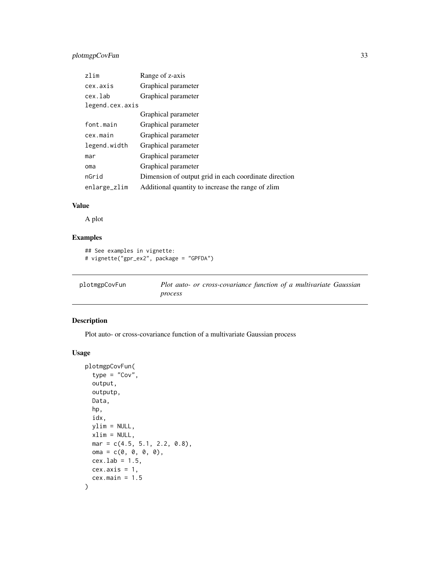#### <span id="page-32-0"></span>plotmgpCovFun 33

| zlim            | Range of z-axis                                       |
|-----------------|-------------------------------------------------------|
| cex.axis        | Graphical parameter                                   |
| cex.lab         | Graphical parameter                                   |
| legend.cex.axis |                                                       |
|                 | Graphical parameter                                   |
| font.main       | Graphical parameter                                   |
| cex.main        | Graphical parameter                                   |
| legend.width    | Graphical parameter                                   |
| mar             | Graphical parameter                                   |
| oma             | Graphical parameter                                   |
| nGrid           | Dimension of output grid in each coordinate direction |
| enlarge_zlim    | Additional quantity to increase the range of zlim     |

#### Value

A plot

#### Examples

```
## See examples in vignette:
# vignette("gpr_ex2", package = "GPFDA")
```
plotmgpCovFun *Plot auto- or cross-covariance function of a multivariate Gaussian process*

#### Description

Plot auto- or cross-covariance function of a multivariate Gaussian process

#### Usage

```
plotmgpCovFun(
  type = "Cov",
  output,
 outputp,
 Data,
  hp,
  idx,
 ylim = NULL,
 xlim = NULL,
 mar = c(4.5, 5.1, 2.2, 0.8),
 oma = c(0, 0, 0, 0),
 cex.1ab = 1.5,
 cex. axis = 1,cex.main = 1.5\mathcal{E}
```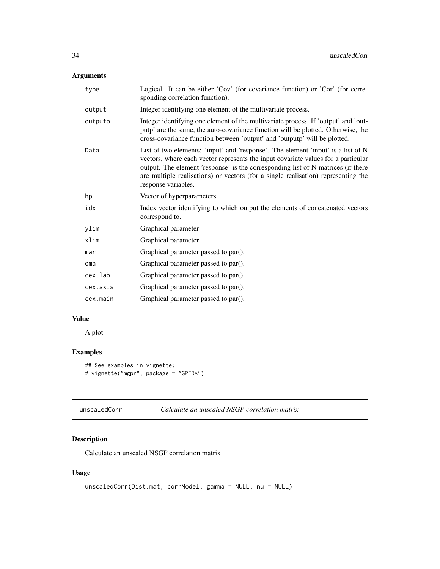#### <span id="page-33-0"></span>Arguments

| type     | Logical. It can be either 'Cov' (for covariance function) or 'Cor' (for corre-<br>sponding correlation function).                                                                                                                                                                                                                                                     |
|----------|-----------------------------------------------------------------------------------------------------------------------------------------------------------------------------------------------------------------------------------------------------------------------------------------------------------------------------------------------------------------------|
| output   | Integer identifying one element of the multivariate process.                                                                                                                                                                                                                                                                                                          |
| outputp  | Integer identifying one element of the multivariate process. If 'output' and 'out-<br>putp' are the same, the auto-covariance function will be plotted. Otherwise, the<br>cross-covariance function between 'output' and 'outputp' will be plotted.                                                                                                                   |
| Data     | List of two elements: 'input' and 'response'. The element 'input' is a list of N<br>vectors, where each vector represents the input covariate values for a particular<br>output. The element 'response' is the corresponding list of N matrices (if there<br>are multiple realisations) or vectors (for a single realisation) representing the<br>response variables. |
| hp       | Vector of hyperparameters                                                                                                                                                                                                                                                                                                                                             |
| idx      | Index vector identifying to which output the elements of concatenated vectors<br>correspond to.                                                                                                                                                                                                                                                                       |
| ylim     | Graphical parameter                                                                                                                                                                                                                                                                                                                                                   |
| xlim     | Graphical parameter                                                                                                                                                                                                                                                                                                                                                   |
| mar      | Graphical parameter passed to par().                                                                                                                                                                                                                                                                                                                                  |
| oma      | Graphical parameter passed to par().                                                                                                                                                                                                                                                                                                                                  |
| cex.lab  | Graphical parameter passed to par().                                                                                                                                                                                                                                                                                                                                  |
| cex.axis | Graphical parameter passed to par().                                                                                                                                                                                                                                                                                                                                  |
| cex.main | Graphical parameter passed to par().                                                                                                                                                                                                                                                                                                                                  |
|          |                                                                                                                                                                                                                                                                                                                                                                       |

#### Value

A plot

#### Examples

```
## See examples in vignette:
# vignette("mgpr", package = "GPFDA")
```

| unscaledCorr | Calculate an unscaled NSGP correlation matrix |  |
|--------------|-----------------------------------------------|--|
|--------------|-----------------------------------------------|--|

#### Description

Calculate an unscaled NSGP correlation matrix

#### Usage

```
unscaledCorr(Dist.mat, corrModel, gamma = NULL, nu = NULL)
```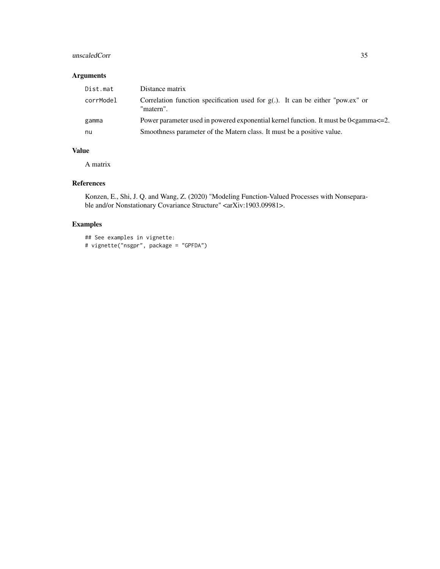#### unscaledCorr 35

#### Arguments

| Dist.mat  | Distance matrix                                                                                 |
|-----------|-------------------------------------------------------------------------------------------------|
| corrModel | Correlation function specification used for $g(.)$ . It can be either "pow.ex" or<br>"matern".  |
| gamma     | Power parameter used in powered exponential kernel function. It must be $0\leq$ amma $\leq$ =2. |
| nu        | Smoothness parameter of the Matern class. It must be a positive value.                          |

#### Value

A matrix

#### References

Konzen, E., Shi, J. Q. and Wang, Z. (2020) "Modeling Function-Valued Processes with Nonseparable and/or Nonstationary Covariance Structure" <arXiv:1903.09981>.

#### Examples

```
## See examples in vignette:
# vignette("nsgpr", package = "GPFDA")
```